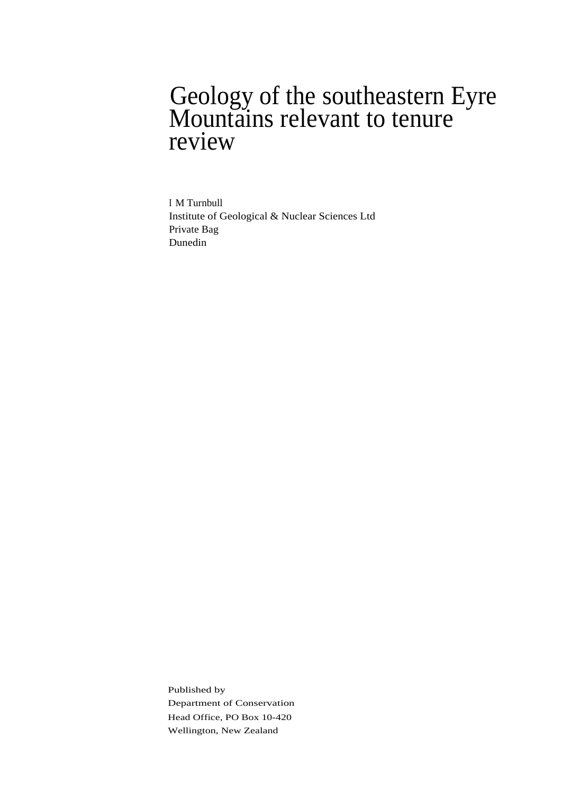### Geology of the southeastern Eyre Mountains relevant to tenure review

I M Turnbull Institute of Geological & Nuclear Sciences Ltd Private Bag Dunedin

Published by Department of Conservation Head Office, PO Box 10-420 Wellington, New Zealand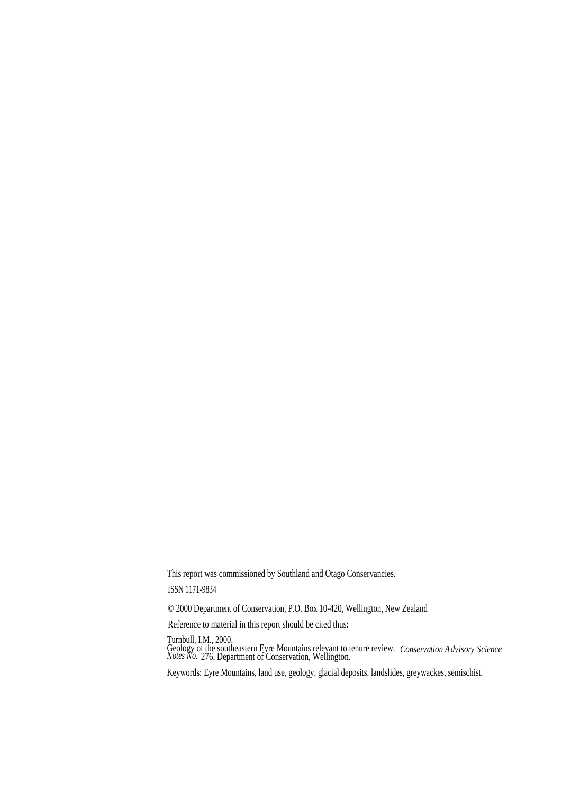This report was commissioned by Southland and Otago Conservancies.

ISSN 1171-9834

© 2000 Department of Conservation, P.O. Box 10-420, Wellington, New Zealand

Reference to material in this report should be cited thus:

Turnbull, I.M., 2000.

Geology of the southeastern Eyre Mountains relevant to tenure review. *Conservation Advisory Science Notes No.* 276, Department of Conservation, Wellington.

Keywords: Eyre Mountains, land use, geology, glacial deposits, landslides, greywackes, semischist.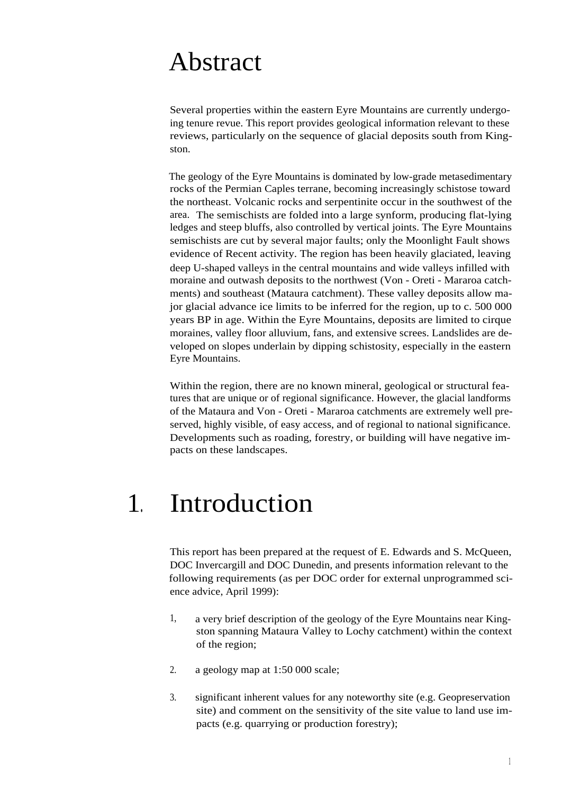## Abstract

Several properties within the eastern Eyre Mountains are currently undergoing tenure revue. This report provides geological information relevant to these reviews, particularly on the sequence of glacial deposits south from Kingston.

The geology of the Eyre Mountains is dominated by low-grade metasedimentary rocks of the Permian Caples terrane, becoming increasingly schistose toward the northeast. Volcanic rocks and serpentinite occur in the southwest of the area. The semischists are folded into a large synform, producing flat-lying ledges and steep bluffs, also controlled by vertical joints. The Eyre Mountains semischists are cut by several major faults; only the Moonlight Fault shows evidence of Recent activity. The region has been heavily glaciated, leaving deep U-shaped valleys in the central mountains and wide valleys infilled with moraine and outwash deposits to the northwest (Von - Oreti - Mararoa catchments) and southeast (Mataura catchment). These valley deposits allow major glacial advance ice limits to be inferred for the region, up to c. 500 000 years BP in age. Within the Eyre Mountains, deposits are limited to cirque moraines, valley floor alluvium, fans, and extensive screes. Landslides are developed on slopes underlain by dipping schistosity, especially in the eastern Eyre Mountains.

Within the region, there are no known mineral, geological or structural features that are unique or of regional significance. However, the glacial landforms of the Mataura and Von - Oreti - Mararoa catchments are extremely well preserved, highly visible, of easy access, and of regional to national significance. Developments such as roading, forestry, or building will have negative impacts on these landscapes.

## 1. Introduction

This report has been prepared at the request of E. Edwards and S. McQueen, DOC Invercargill and DOC Dunedin, and presents information relevant to the following requirements (as per DOC order for external unprogrammed science advice, April 1999):

- 1, a very brief description of the geology of the Eyre Mountains near Kingston spanning Mataura Valley to Lochy catchment) within the context of the region;
- 2. a geology map at 1:50 000 scale;
- 3. significant inherent values for any noteworthy site (e.g. Geopreservation site) and comment on the sensitivity of the site value to land use impacts (e.g. quarrying or production forestry);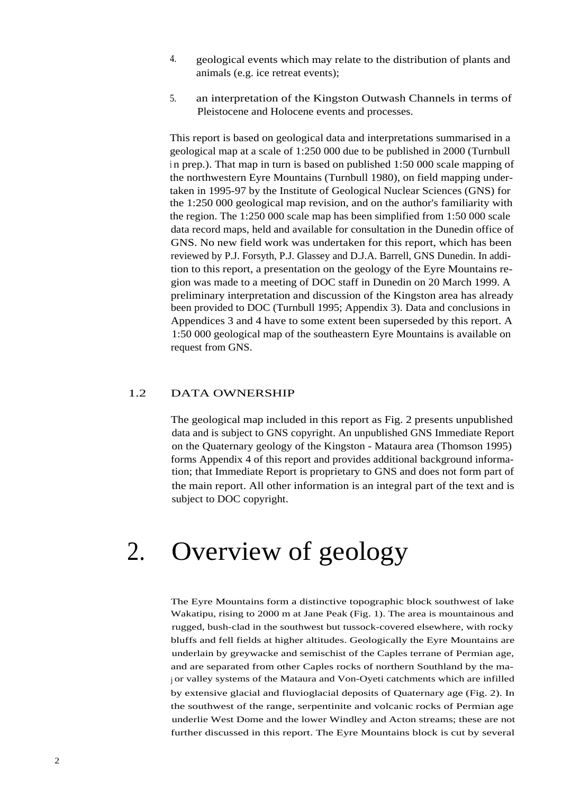- 4. geological events which may relate to the distribution of plants and animals (e.g. ice retreat events);
- 5. an interpretation of the Kingston Outwash Channels in terms of Pleistocene and Holocene events and processes.

This report is based on geological data and interpretations summarised in a geological map at a scale of 1:250 000 due to be published in 2000 (Turnbull in prep.). That map in turn is based on published 1:50 000 scale mapping of the northwestern Eyre Mountains (Turnbull 1980), on field mapping undertaken in 1995-97 by the Institute of Geological Nuclear Sciences (GNS) for the 1:250 000 geological map revision, and on the author's familiarity with the region. The 1:250 000 scale map has been simplified from 1:50 000 scale data record maps, held and available for consultation in the Dunedin office of GNS. No new field work was undertaken for this report, which has been reviewed by P.J. Forsyth, P.J. Glassey and D.J.A. Barrell, GNS Dunedin. In addition to this report, a presentation on the geology of the Eyre Mountains region was made to a meeting of DOC staff in Dunedin on 20 March 1999. A preliminary interpretation and discussion of the Kingston area has already been provided to DOC (Turnbull 1995; Appendix 3). Data and conclusions in Appendices 3 and 4 have to some extent been superseded by this report. A 1:50 000 geological map of the southeastern Eyre Mountains is available on request from GNS.

#### 1.2 DATA OWNERSHIP

The geological map included in this report as Fig. 2 presents unpublished data and is subject to GNS copyright. An unpublished GNS Immediate Report on the Quaternary geology of the Kingston - Mataura area (Thomson 1995) forms Appendix 4 of this report and provides additional background information; that Immediate Report is proprietary to GNS and does not form part of the main report. All other information is an integral part of the text and is subject to DOC copyright.

### 2. Overview of geology

The Eyre Mountains form a distinctive topographic block southwest of lake Wakatipu, rising to 2000 m at Jane Peak (Fig. 1). The area is mountainous and rugged, bush-clad in the southwest but tussock-covered elsewhere, with rocky bluffs and fell fields at higher altitudes. Geologically the Eyre Mountains are underlain by greywacke and semischist of the Caples terrane of Permian age, and are separated from other Caples rocks of northern Southland by the ma<sup>j</sup> or valley systems of the Mataura and Von-Oyeti catchments which are infilled by extensive glacial and fluvioglacial deposits of Quaternary age (Fig. 2). In the southwest of the range, serpentinite and volcanic rocks of Permian age underlie West Dome and the lower Windley and Acton streams; these are not further discussed in this report. The Eyre Mountains block is cut by several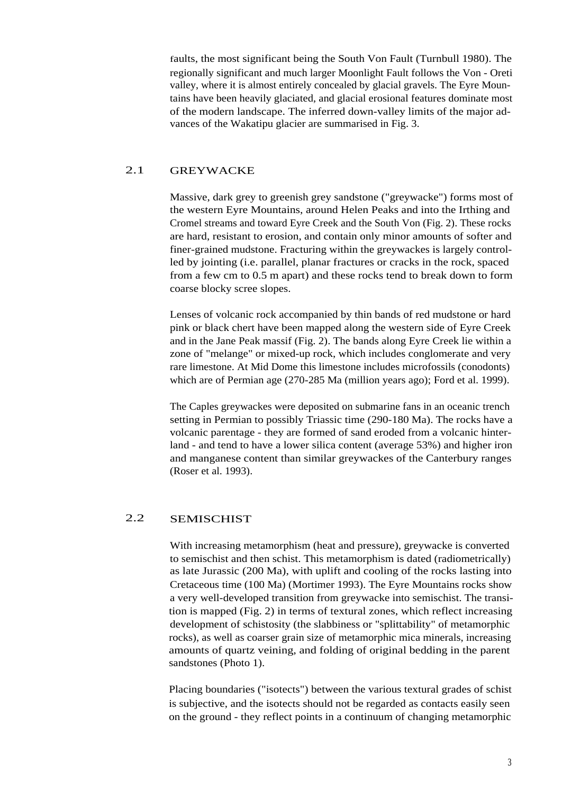faults, the most significant being the South Von Fault (Turnbull 1980). The regionally significant and much larger Moonlight Fault follows the Von - Oreti valley, where it is almost entirely concealed by glacial gravels. The Eyre Mountains have been heavily glaciated, and glacial erosional features dominate most of the modern landscape. The inferred down-valley limits of the major advances of the Wakatipu glacier are summarised in Fig. 3.

### 2.1 GREYWACKE

Massive, dark grey to greenish grey sandstone ("greywacke") forms most of the western Eyre Mountains, around Helen Peaks and into the Irthing and Cromel streams and toward Eyre Creek and the South Von (Fig. 2). These rocks are hard, resistant to erosion, and contain only minor amounts of softer and finer-grained mudstone. Fracturing within the greywackes is largely controlled by jointing (i.e. parallel, planar fractures or cracks in the rock, spaced from a few cm to 0.5 m apart) and these rocks tend to break down to form coarse blocky scree slopes.

Lenses of volcanic rock accompanied by thin bands of red mudstone or hard pink or black chert have been mapped along the western side of Eyre Creek and in the Jane Peak massif (Fig. 2). The bands along Eyre Creek lie within a zone of "melange" or mixed-up rock, which includes conglomerate and very rare limestone. At Mid Dome this limestone includes microfossils (conodonts) which are of Permian age (270-285 Ma (million years ago); Ford et al. 1999).

The Caples greywackes were deposited on submarine fans in an oceanic trench setting in Permian to possibly Triassic time (290-180 Ma). The rocks have a volcanic parentage - they are formed of sand eroded from a volcanic hinterland - and tend to have a lower silica content (average 53%) and higher iron and manganese content than similar greywackes of the Canterbury ranges (Roser et al. 1993).

#### 2.2 SEMISCHIST

With increasing metamorphism (heat and pressure), greywacke is converted to semischist and then schist. This metamorphism is dated (radiometrically) as late Jurassic (200 Ma), with uplift and cooling of the rocks lasting into Cretaceous time (100 Ma) (Mortimer 1993). The Eyre Mountains rocks show a very well-developed transition from greywacke into semischist. The transition is mapped (Fig. 2) in terms of textural zones, which reflect increasing development of schistosity (the slabbiness or "splittability" of metamorphic rocks), as well as coarser grain size of metamorphic mica minerals, increasing amounts of quartz veining, and folding of original bedding in the parent sandstones (Photo 1).

Placing boundaries ("isotects") between the various textural grades of schist is subjective, and the isotects should not be regarded as contacts easily seen on the ground - they reflect points in a continuum of changing metamorphic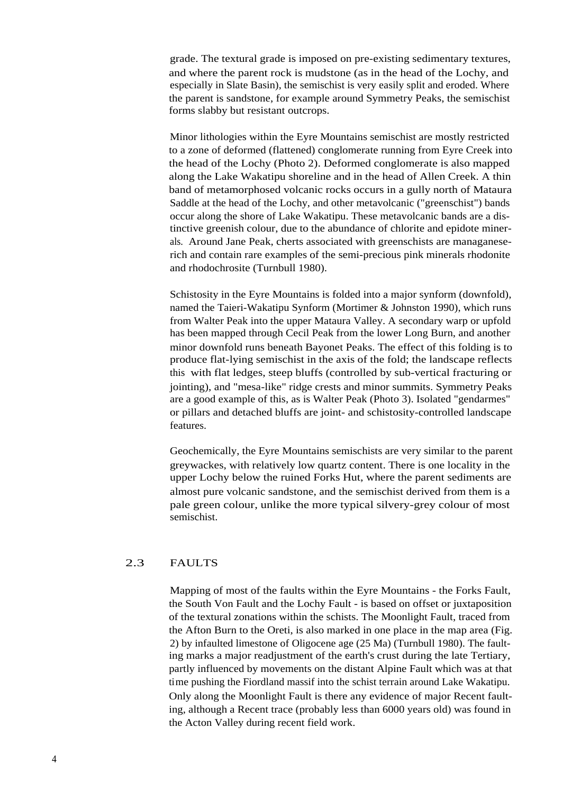grade. The textural grade is imposed on pre-existing sedimentary textures, and where the parent rock is mudstone (as in the head of the Lochy, and especially in Slate Basin), the semischist is very easily split and eroded. Where the parent is sandstone, for example around Symmetry Peaks, the semischist forms slabby but resistant outcrops.

Minor lithologies within the Eyre Mountains semischist are mostly restricted to a zone of deformed (flattened) conglomerate running from Eyre Creek into the head of the Lochy (Photo 2). Deformed conglomerate is also mapped along the Lake Wakatipu shoreline and in the head of Allen Creek. A thin band of metamorphosed volcanic rocks occurs in a gully north of Mataura Saddle at the head of the Lochy, and other metavolcanic ("greenschist") bands occur along the shore of Lake Wakatipu. These metavolcanic bands are a distinctive greenish colour, due to the abundance of chlorite and epidote minerals. Around Jane Peak, cherts associated with greenschists are managaneserich and contain rare examples of the semi-precious pink minerals rhodonite and rhodochrosite (Turnbull 1980).

Schistosity in the Eyre Mountains is folded into a major synform (downfold), named the Taieri-Wakatipu Synform (Mortimer & Johnston 1990), which runs from Walter Peak into the upper Mataura Valley. A secondary warp or upfold has been mapped through Cecil Peak from the lower Long Burn, and another minor downfold runs beneath Bayonet Peaks. The effect of this folding is to produce flat-lying semischist in the axis of the fold; the landscape reflects this with flat ledges, steep bluffs (controlled by sub-vertical fracturing or jointing), and "mesa-like" ridge crests and minor summits. Symmetry Peaks are a good example of this, as is Walter Peak (Photo 3). Isolated "gendarmes" or pillars and detached bluffs are joint- and schistosity-controlled landscape features.

Geochemically, the Eyre Mountains semischists are very similar to the parent greywackes, with relatively low quartz content. There is one locality in the upper Lochy below the ruined Forks Hut, where the parent sediments are almost pure volcanic sandstone, and the semischist derived from them is a pale green colour, unlike the more typical silvery-grey colour of most semischist.

#### 2.3 FAULTS

Mapping of most of the faults within the Eyre Mountains - the Forks Fault, the South Von Fault and the Lochy Fault - is based on offset or juxtaposition of the textural zonations within the schists. The Moonlight Fault, traced from the Afton Burn to the Oreti, is also marked in one place in the map area (Fig. 2) by infaulted limestone of Oligocene age (25 Ma) (Turnbull 1980). The faulting marks a major readjustment of the earth's crust during the late Tertiary, partly influenced by movements on the distant Alpine Fault which was at that time pushing the Fiordland massif into the schist terrain around Lake Wakatipu. Only along the Moonlight Fault is there any evidence of major Recent faulting, although a Recent trace (probably less than 6000 years old) was found in the Acton Valley during recent field work.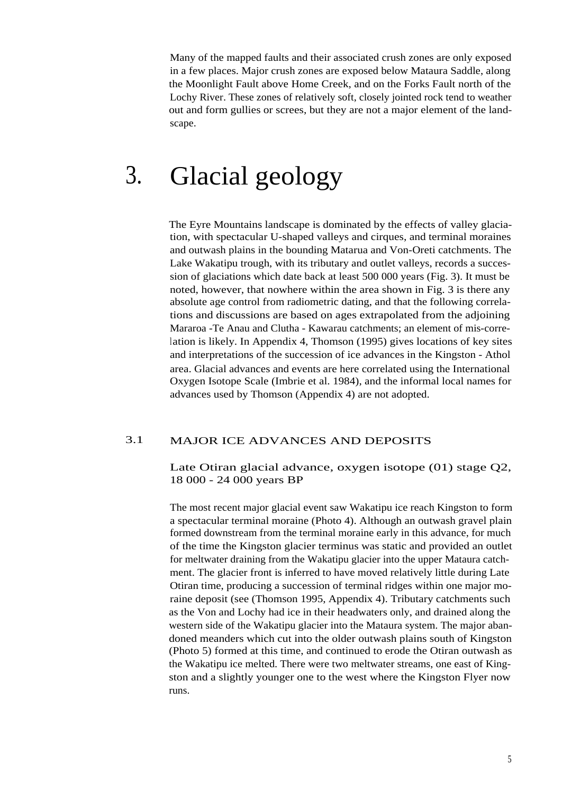Many of the mapped faults and their associated crush zones are only exposed in a few places. Major crush zones are exposed below Mataura Saddle, along the Moonlight Fault above Home Creek, and on the Forks Fault north of the Lochy River. These zones of relatively soft, closely jointed rock tend to weather out and form gullies or screes, but they are not a major element of the landscape.

## 3. Glacial geology

The Eyre Mountains landscape is dominated by the effects of valley glaciation, with spectacular U-shaped valleys and cirques, and terminal moraines and outwash plains in the bounding Matarua and Von-Oreti catchments. The Lake Wakatipu trough, with its tributary and outlet valleys, records a succession of glaciations which date back at least 500 000 years (Fig. 3). It must be noted, however, that nowhere within the area shown in Fig. 3 is there any absolute age control from radiometric dating, and that the following correlations and discussions are based on ages extrapolated from the adjoining Mararoa -Te Anau and Clutha - Kawarau catchments; an element of mis-correlation is likely. In Appendix 4, Thomson (1995) gives locations of key sites and interpretations of the succession of ice advances in the Kingston - Athol area. Glacial advances and events are here correlated using the International Oxygen Isotope Scale (Imbrie et al. 1984), and the informal local names for advances used by Thomson (Appendix 4) are not adopted.

#### 3.1 MAJOR ICE ADVANCES AND DEPOSITS

Late Otiran glacial advance, oxygen isotope (01) stage Q2, 18 000 - 24 000 years BP

The most recent major glacial event saw Wakatipu ice reach Kingston to form a spectacular terminal moraine (Photo 4). Although an outwash gravel plain formed downstream from the terminal moraine early in this advance, for much of the time the Kingston glacier terminus was static and provided an outlet for meltwater draining from the Wakatipu glacier into the upper Mataura catchment. The glacier front is inferred to have moved relatively little during Late Otiran time, producing a succession of terminal ridges within one major moraine deposit (see (Thomson 1995, Appendix 4). Tributary catchments such as the Von and Lochy had ice in their headwaters only, and drained along the western side of the Wakatipu glacier into the Mataura system. The major abandoned meanders which cut into the older outwash plains south of Kingston (Photo 5) formed at this time, and continued to erode the Otiran outwash as the Wakatipu ice melted. There were two meltwater streams, one east of Kingston and a slightly younger one to the west where the Kingston Flyer now runs.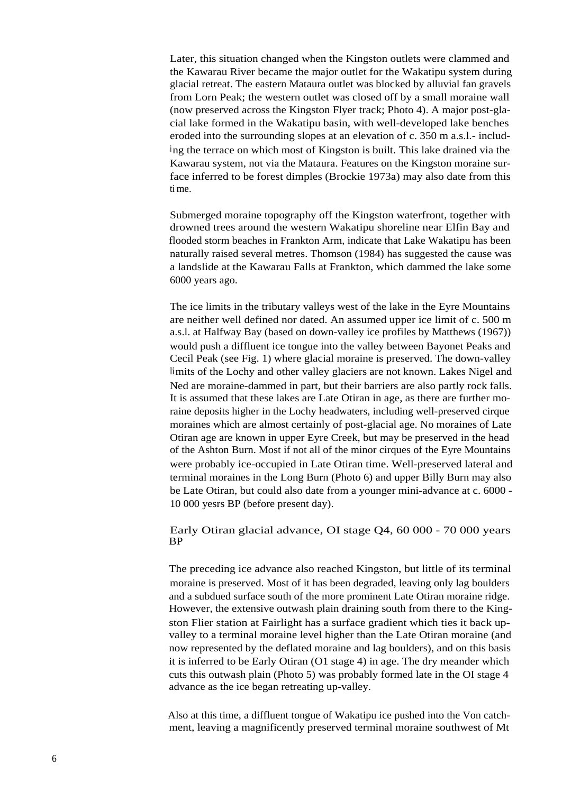Later, this situation changed when the Kingston outlets were clammed and the Kawarau River became the major outlet for the Wakatipu system during glacial retreat. The eastern Mataura outlet was blocked by alluvial fan gravels from Lorn Peak; the western outlet was closed off by a small moraine wall (now preserved across the Kingston Flyer track; Photo 4). A major post-glacial lake formed in the Wakatipu basin, with well-developed lake benches eroded into the surrounding slopes at an elevation of c. 350 m a.s.l.- including the terrace on which most of Kingston is built. This lake drained via the Kawarau system, not via the Mataura. Features on the Kingston moraine surface inferred to be forest dimples (Brockie 1973a) may also date from this ti me.

Submerged moraine topography off the Kingston waterfront, together with drowned trees around the western Wakatipu shoreline near Elfin Bay and flooded storm beaches in Frankton Arm, indicate that Lake Wakatipu has been naturally raised several metres. Thomson (1984) has suggested the cause was a landslide at the Kawarau Falls at Frankton, which dammed the lake some 6000 years ago.

The ice limits in the tributary valleys west of the lake in the Eyre Mountains are neither well defined nor dated. An assumed upper ice limit of c. 500 m a.s.l. at Halfway Bay (based on down-valley ice profiles by Matthews (1967)) would push a diffluent ice tongue into the valley between Bayonet Peaks and Cecil Peak (see Fig. 1) where glacial moraine is preserved. The down-valley limits of the Lochy and other valley glaciers are not known. Lakes Nigel and Ned are moraine-dammed in part, but their barriers are also partly rock falls. It is assumed that these lakes are Late Otiran in age, as there are further moraine deposits higher in the Lochy headwaters, including well-preserved cirque moraines which are almost certainly of post-glacial age. No moraines of Late Otiran age are known in upper Eyre Creek, but may be preserved in the head of the Ashton Burn. Most if not all of the minor cirques of the Eyre Mountains were probably ice-occupied in Late Otiran time. Well-preserved lateral and terminal moraines in the Long Burn (Photo 6) and upper Billy Burn may also be Late Otiran, but could also date from a younger mini-advance at c. 6000 - 10 000 yesrs BP (before present day).

#### Early Otiran glacial advance, OI stage Q4, 60 000 - 70 000 years BP

The preceding ice advance also reached Kingston, but little of its terminal moraine is preserved. Most of it has been degraded, leaving only lag boulders and a subdued surface south of the more prominent Late Otiran moraine ridge. However, the extensive outwash plain draining south from there to the Kingston Flier station at Fairlight has a surface gradient which ties it back upvalley to a terminal moraine level higher than the Late Otiran moraine (and now represented by the deflated moraine and lag boulders), and on this basis it is inferred to be Early Otiran (O1 stage 4) in age. The dry meander which cuts this outwash plain (Photo 5) was probably formed late in the OI stage 4 advance as the ice began retreating up-valley.

Also at this time, a diffluent tongue of Wakatipu ice pushed into the Von catchment, leaving a magnificently preserved terminal moraine southwest of Mt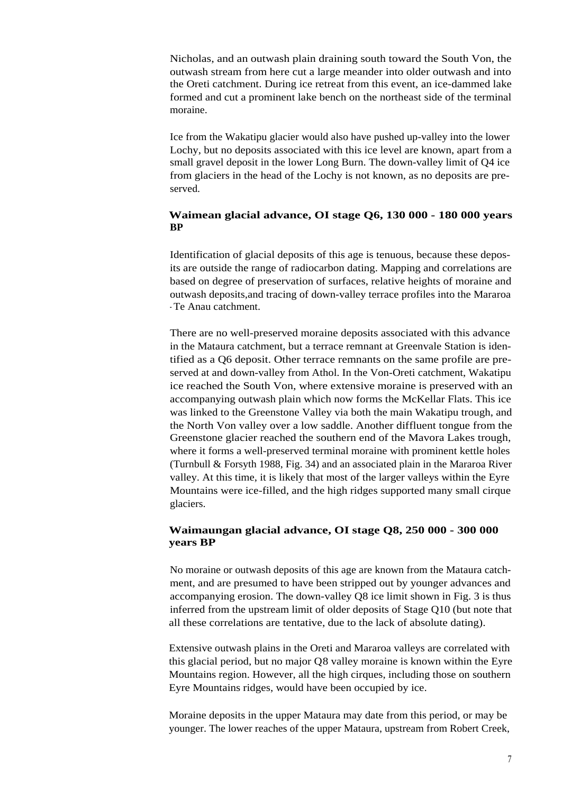Nicholas, and an outwash plain draining south toward the South Von, the outwash stream from here cut a large meander into older outwash and into the Oreti catchment. During ice retreat from this event, an ice-dammed lake formed and cut a prominent lake bench on the northeast side of the terminal moraine.

Ice from the Wakatipu glacier would also have pushed up-valley into the lower Lochy, but no deposits associated with this ice level are known, apart from a small gravel deposit in the lower Long Burn. The down-valley limit of Q4 ice from glaciers in the head of the Lochy is not known, as no deposits are preserved.

#### **Waimean glacial advance, OI stage Q6, 130 000 - 180 000 years BP**

Identification of glacial deposits of this age is tenuous, because these deposits are outside the range of radiocarbon dating. Mapping and correlations are based on degree of preservation of surfaces, relative heights of moraine and outwash deposits,and tracing of down-valley terrace profiles into the Mararoa - Te Anau catchment.

There are no well-preserved moraine deposits associated with this advance in the Mataura catchment, but a terrace remnant at Greenvale Station is identified as a Q6 deposit. Other terrace remnants on the same profile are preserved at and down-valley from Athol. In the Von-Oreti catchment, Wakatipu ice reached the South Von, where extensive moraine is preserved with an accompanying outwash plain which now forms the McKellar Flats. This ice was linked to the Greenstone Valley via both the main Wakatipu trough, and the North Von valley over a low saddle. Another diffluent tongue from the Greenstone glacier reached the southern end of the Mavora Lakes trough, where it forms a well-preserved terminal moraine with prominent kettle holes (Turnbull & Forsyth 1988, Fig. 34) and an associated plain in the Mararoa River valley. At this time, it is likely that most of the larger valleys within the Eyre Mountains were ice-filled, and the high ridges supported many small cirque glaciers.

#### **Waimaungan glacial advance, OI stage Q8, 250 000 - 300 000 years BP**

No moraine or outwash deposits of this age are known from the Mataura catchment, and are presumed to have been stripped out by younger advances and accompanying erosion. The down-valley Q8 ice limit shown in Fig. 3 is thus inferred from the upstream limit of older deposits of Stage Q10 (but note that all these correlations are tentative, due to the lack of absolute dating).

Extensive outwash plains in the Oreti and Mararoa valleys are correlated with this glacial period, but no major Q8 valley moraine is known within the Eyre Mountains region. However, all the high cirques, including those on southern Eyre Mountains ridges, would have been occupied by ice.

Moraine deposits in the upper Mataura may date from this period, or may be younger. The lower reaches of the upper Mataura, upstream from Robert Creek,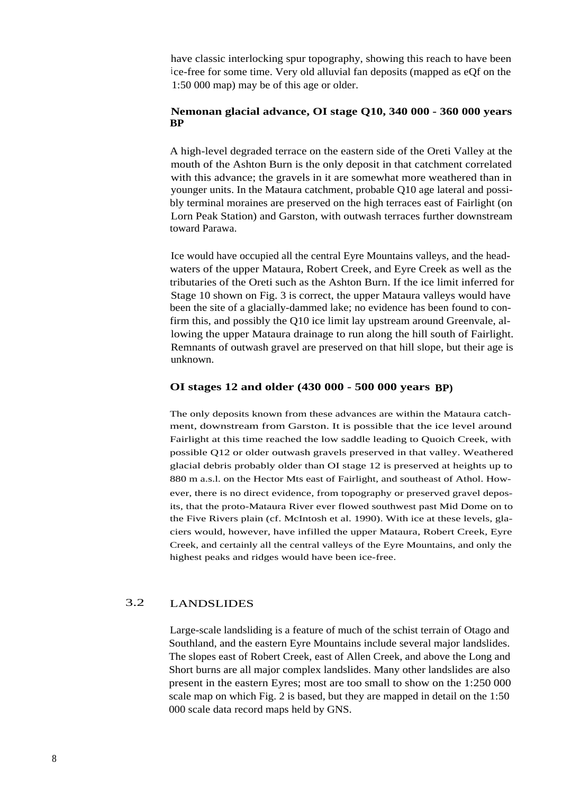have classic interlocking spur topography, showing this reach to have been ice-free for some time. Very old alluvial fan deposits (mapped as eQf on the 1:50 000 map) may be of this age or older.

#### **Nemonan glacial advance, OI stage Q10, 340 000 - 360 000 years BP**

A high-level degraded terrace on the eastern side of the Oreti Valley at the mouth of the Ashton Burn is the only deposit in that catchment correlated with this advance; the gravels in it are somewhat more weathered than in younger units. In the Mataura catchment, probable Q10 age lateral and possibly terminal moraines are preserved on the high terraces east of Fairlight (on Lorn Peak Station) and Garston, with outwash terraces further downstream toward Parawa.

Ice would have occupied all the central Eyre Mountains valleys, and the headwaters of the upper Mataura, Robert Creek, and Eyre Creek as well as the tributaries of the Oreti such as the Ashton Burn. If the ice limit inferred for Stage 10 shown on Fig. 3 is correct, the upper Mataura valleys would have been the site of a glacially-dammed lake; no evidence has been found to confirm this, and possibly the Q10 ice limit lay upstream around Greenvale, allowing the upper Mataura drainage to run along the hill south of Fairlight. Remnants of outwash gravel are preserved on that hill slope, but their age is unknown.

#### **OI stages 12 and older (430 000 - 500 000 years BP)**

The only deposits known from these advances are within the Mataura catchment, downstream from Garston. It is possible that the ice level around Fairlight at this time reached the low saddle leading to Quoich Creek, with possible Q12 or older outwash gravels preserved in that valley. Weathered glacial debris probably older than OI stage 12 is preserved at heights up to 880 m a.s.l. on the Hector Mts east of Fairlight, and southeast of Athol. However, there is no direct evidence, from topography or preserved gravel deposits, that the proto-Mataura River ever flowed southwest past Mid Dome on to the Five Rivers plain (cf. McIntosh et al. 1990). With ice at these levels, glaciers would, however, have infilled the upper Mataura, Robert Creek, Eyre Creek, and certainly all the central valleys of the Eyre Mountains, and only the highest peaks and ridges would have been ice-free.

#### 3.2 LANDSLIDES

Large-scale landsliding is a feature of much of the schist terrain of Otago and Southland, and the eastern Eyre Mountains include several major landslides. The slopes east of Robert Creek, east of Allen Creek, and above the Long and Short burns are all major complex landslides. Many other landslides are also present in the eastern Eyres; most are too small to show on the 1:250 000 scale map on which Fig. 2 is based, but they are mapped in detail on the 1:50 000 scale data record maps held by GNS.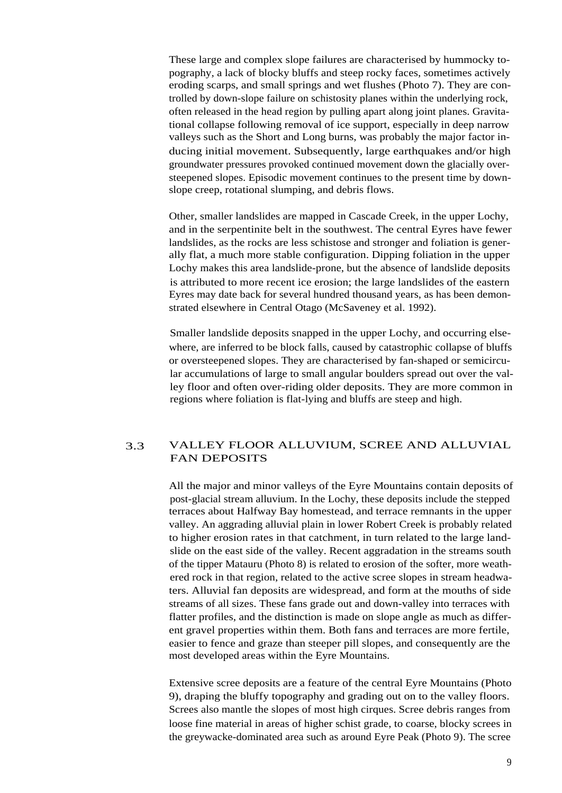These large and complex slope failures are characterised by hummocky topography, a lack of blocky bluffs and steep rocky faces, sometimes actively eroding scarps, and small springs and wet flushes (Photo 7). They are controlled by down-slope failure on schistosity planes within the underlying rock, often released in the head region by pulling apart along joint planes. Gravitational collapse following removal of ice support, especially in deep narrow valleys such as the Short and Long burns, was probably the major factor inducing initial movement. Subsequently, large earthquakes and/or high groundwater pressures provoked continued movement down the glacially oversteepened slopes. Episodic movement continues to the present time by downslope creep, rotational slumping, and debris flows.

Other, smaller landslides are mapped in Cascade Creek, in the upper Lochy, and in the serpentinite belt in the southwest. The central Eyres have fewer landslides, as the rocks are less schistose and stronger and foliation is generally flat, a much more stable configuration. Dipping foliation in the upper Lochy makes this area landslide-prone, but the absence of landslide deposits is attributed to more recent ice erosion; the large landslides of the eastern Eyres may date back for several hundred thousand years, as has been demonstrated elsewhere in Central Otago (McSaveney et al. 1992).

Smaller landslide deposits snapped in the upper Lochy, and occurring elsewhere, are inferred to be block falls, caused by catastrophic collapse of bluffs or oversteepened slopes. They are characterised by fan-shaped or semicircular accumulations of large to small angular boulders spread out over the valley floor and often over-riding older deposits. They are more common in regions where foliation is flat-lying and bluffs are steep and high.

### 3.3 VALLEY FLOOR ALLUVIUM, SCREE AND ALLUVIAL FAN DEPOSITS

All the major and minor valleys of the Eyre Mountains contain deposits of post-glacial stream alluvium. In the Lochy, these deposits include the stepped terraces about Halfway Bay homestead, and terrace remnants in the upper valley. An aggrading alluvial plain in lower Robert Creek is probably related to higher erosion rates in that catchment, in turn related to the large landslide on the east side of the valley. Recent aggradation in the streams south of the tipper Matauru (Photo 8) is related to erosion of the softer, more weathered rock in that region, related to the active scree slopes in stream headwaters. Alluvial fan deposits are widespread, and form at the mouths of side streams of all sizes. These fans grade out and down-valley into terraces with flatter profiles, and the distinction is made on slope angle as much as different gravel properties within them. Both fans and terraces are more fertile, easier to fence and graze than steeper pill slopes, and consequently are the most developed areas within the Eyre Mountains.

Extensive scree deposits are a feature of the central Eyre Mountains (Photo 9), draping the bluffy topography and grading out on to the valley floors. Screes also mantle the slopes of most high cirques. Scree debris ranges from loose fine material in areas of higher schist grade, to coarse, blocky screes in the greywacke-dominated area such as around Eyre Peak (Photo 9). The scree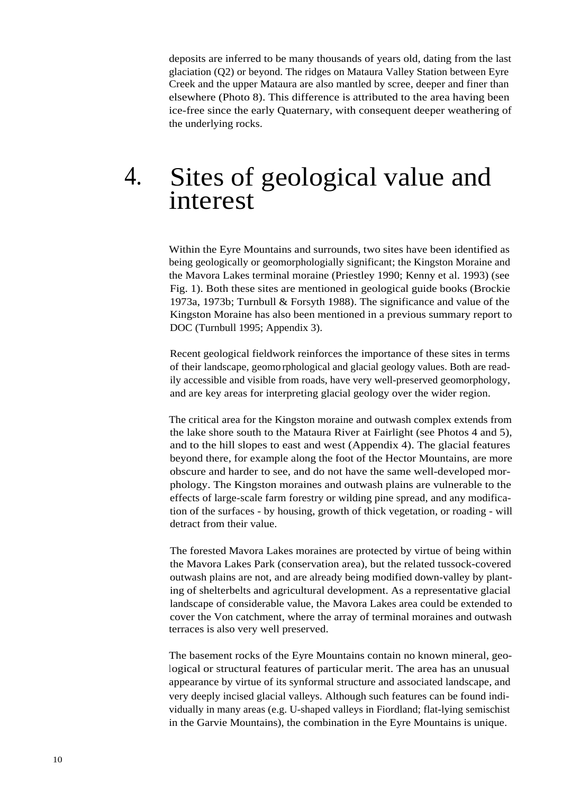deposits are inferred to be many thousands of years old, dating from the last glaciation (Q2) or beyond. The ridges on Mataura Valley Station between Eyre Creek and the upper Mataura are also mantled by scree, deeper and finer than elsewhere (Photo 8). This difference is attributed to the area having been ice-free since the early Quaternary, with consequent deeper weathering of the underlying rocks.

### 4. Sites of geological value and interest

Within the Eyre Mountains and surrounds, two sites have been identified as being geologically or geomorphologially significant; the Kingston Moraine and the Mavora Lakes terminal moraine (Priestley 1990; Kenny et al. 1993) (see Fig. 1). Both these sites are mentioned in geological guide books (Brockie 1973a, 1973b; Turnbull & Forsyth 1988). The significance and value of the Kingston Moraine has also been mentioned in a previous summary report to DOC (Turnbull 1995; Appendix 3).

Recent geological fieldwork reinforces the importance of these sites in terms of their landscape, geomorphological and glacial geology values. Both are readily accessible and visible from roads, have very well-preserved geomorphology, and are key areas for interpreting glacial geology over the wider region.

The critical area for the Kingston moraine and outwash complex extends from the lake shore south to the Mataura River at Fairlight (see Photos 4 and 5), and to the hill slopes to east and west (Appendix 4). The glacial features beyond there, for example along the foot of the Hector Mountains, are more obscure and harder to see, and do not have the same well-developed morphology. The Kingston moraines and outwash plains are vulnerable to the effects of large-scale farm forestry or wilding pine spread, and any modification of the surfaces - by housing, growth of thick vegetation, or roading - will detract from their value.

The forested Mavora Lakes moraines are protected by virtue of being within the Mavora Lakes Park (conservation area), but the related tussock-covered outwash plains are not, and are already being modified down-valley by planting of shelterbelts and agricultural development. As a representative glacial landscape of considerable value, the Mavora Lakes area could be extended to cover the Von catchment, where the array of terminal moraines and outwash terraces is also very well preserved.

The basement rocks of the Eyre Mountains contain no known mineral, geological or structural features of particular merit. The area has an unusual appearance by virtue of its synformal structure and associated landscape, and very deeply incised glacial valleys. Although such features can be found individually in many areas (e.g. U-shaped valleys in Fiordland; flat-lying semischist in the Garvie Mountains), the combination in the Eyre Mountains is unique.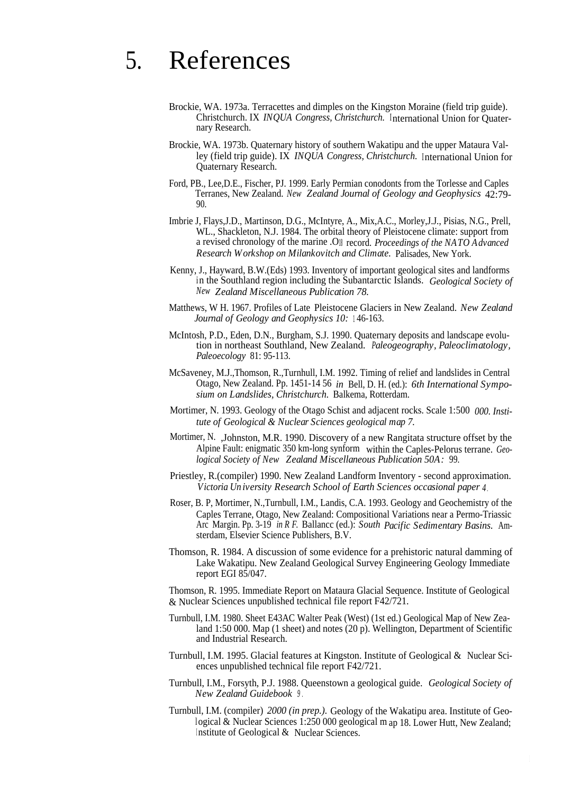## 5. References

- Brockie, WA. 1973a. Terracettes and dimples on the Kingston Moraine (field trip guide). Christchurch. IX *INQUA Congress, Christchurch.* International Union for Quaternary Research.
- Brockie, WA. 1973b. Quaternary history of southern Wakatipu and the upper Mataura Valley (field trip guide). IX *INQUA Congress, Christchurch.* International Union for Quaternary Research.
- Ford, PB., Lee,D.E., Fischer, PJ. 1999. Early Permian conodonts from the Torlesse and Caples Terranes, New Zealand. *New Zealand Journal of Geology and Geophysics* 42:79- 90.
- Imbrie J, Flays,J.D., Martinson, D.G., McIntyre, A., Mix,A.C., Morley,J.J., Pisias, N.G., Prell, WL., Shackleton, N.J. 1984. The orbital theory of Pleistocene climate: support from a revised chronology of the marine .O<sup>18</sup> record. *Proceedings of the NATO Advanced Research Workshop on Milankovitch and Climate.* Palisades, New York.
- Kenny, J., Hayward, B.W.(Eds) 1993. Inventory of important geological sites and landforms in the Southland region including the Subantarctic Islands. *Geological Society of New Zealand Miscellaneous Publication 78.*
- Matthews, W H. 1967. Profiles of Late Pleistocene Glaciers in New Zealand. *New Zealand Journal of Geology and Geophysics 10:* <sup>1</sup> 46-163.
- McIntosh, P.D., Eden, D.N., Burgham, S.J. 1990. Quaternary deposits and landscape evolution in northeast Southland, New Zealand. *Paleogeography, Paleoclimatology, Paleoecology* 81: 95-113.
- McSaveney, M.J.,Thomson, R.,Turnhull, I.M. 1992. Timing of relief and landslides in Central Otago, New Zealand. Pp. 1451-14 56 *in* Bell, D. H. (ed.): *6th International Symposium on Landslides, Christchurch.* Balkema, Rotterdam.
- Mortimer, N. 1993. Geology of the Otago Schist and adjacent rocks. Scale 1:500 *000. Institute of Geological & Nuclear Sciences geological map 7.*
- Mortimer, N. ,Johnston, M.R. 1990. Discovery of a new Rangitata structure offset by the Alpine Fault: enigmatic 350 km-long synform within the Caples-Pelorus terrane. *Geological Society of New Zealand Miscellaneous Publication 50A:* 99.
- Priestley, R.(compiler) 1990. New Zealand Landform Inventory second approximation. *Victoria Un iversity Research School of Earth Sciences occasional paper 4* .
- Roser, B. P, Mortimer, N.,Turnbull, I.M., Landis, C.A. 1993. Geology and Geochemistry of the Caples Terrane, Otago, New Zealand: Compositional Variations near a Permo-Triassic Arc Margin. Pp. 3-19 *in R F.* Ballancc (ed.): *South Pacific Sedimentary Basins.* Amsterdam, Elsevier Science Publishers, B.V.
- Thomson, R. 1984. A discussion of some evidence for a prehistoric natural damming of Lake Wakatipu. New Zealand Geological Survey Engineering Geology Immediate report EGI 85/047.

Thomson, R. 1995. Immediate Report on Mataura Glacial Sequence. Institute of Geological & Nuclear Sciences unpublished technical file report F42/721.

- Turnbull, I.M. 1980. Sheet E43AC Walter Peak (West) (1st ed.) Geological Map of New Zealand 1:50 000. Map (1 sheet) and notes (20 p). Wellington, Department of Scientific and Industrial Research.
- Turnbull, I.M. 1995. Glacial features at Kingston. Institute of Geological & Nuclear Sciences unpublished technical file report F42/721.
- Turnbull, I.M., Forsyth, P.J. 1988. Queenstown a geological guide. *Geological Society of New Zealand Guidebook <sup>9</sup>* .
- Turnbull, I.M. (compiler) *2000 (in prep.).* Geology of the Wakatipu area. Institute of Geological & Nuclear Sciences 1:250 000 geological m ap 18. Lower Hutt, New Zealand; Institute of Geological  $&$  Nuclear Sciences.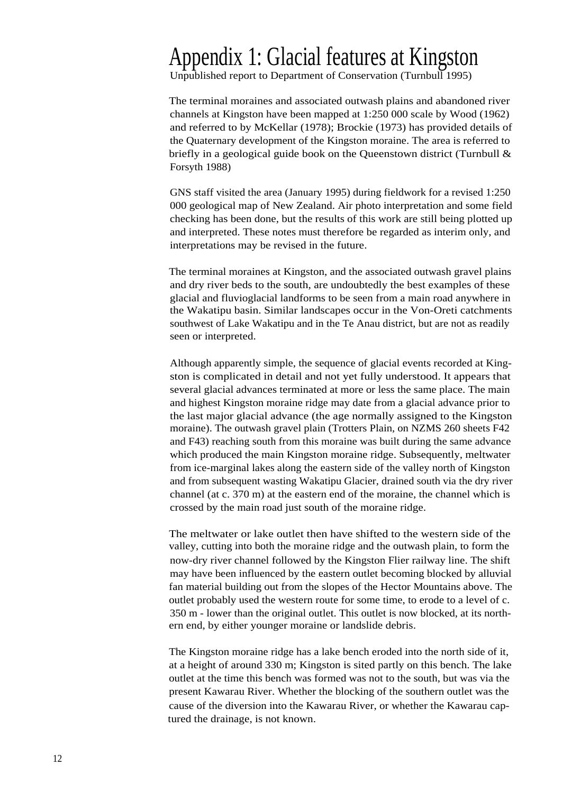### Appendix 1: Glacial features at Kingston

Unpublished report to Department of Conservation (Turnbull 1995)

The terminal moraines and associated outwash plains and abandoned river channels at Kingston have been mapped at 1:250 000 scale by Wood (1962) and referred to by McKellar (1978); Brockie (1973) has provided details of the Quaternary development of the Kingston moraine. The area is referred to briefly in a geological guide book on the Queenstown district (Turnbull & Forsyth 1988)

GNS staff visited the area (January 1995) during fieldwork for a revised 1:250 000 geological map of New Zealand. Air photo interpretation and some field checking has been done, but the results of this work are still being plotted up and interpreted. These notes must therefore be regarded as interim only, and interpretations may be revised in the future.

The terminal moraines at Kingston, and the associated outwash gravel plains and dry river beds to the south, are undoubtedly the best examples of these glacial and fluvioglacial landforms to be seen from a main road anywhere in the Wakatipu basin. Similar landscapes occur in the Von-Oreti catchments southwest of Lake Wakatipu and in the Te Anau district, but are not as readily seen or interpreted.

Although apparently simple, the sequence of glacial events recorded at Kingston is complicated in detail and not yet fully understood. It appears that several glacial advances terminated at more or less the same place. The main and highest Kingston moraine ridge may date from a glacial advance prior to the last major glacial advance (the age normally assigned to the Kingston moraine). The outwash gravel plain (Trotters Plain, on NZMS 260 sheets F42 and F43) reaching south from this moraine was built during the same advance which produced the main Kingston moraine ridge. Subsequently, meltwater from ice-marginal lakes along the eastern side of the valley north of Kingston and from subsequent wasting Wakatipu Glacier, drained south via the dry river channel (at c. 370 m) at the eastern end of the moraine, the channel which is crossed by the main road just south of the moraine ridge.

The meltwater or lake outlet then have shifted to the western side of the valley, cutting into both the moraine ridge and the outwash plain, to form the now-dry river channel followed by the Kingston Flier railway line. The shift may have been influenced by the eastern outlet becoming blocked by alluvial fan material building out from the slopes of the Hector Mountains above. The outlet probably used the western route for some time, to erode to a level of c. 350 m - lower than the original outlet. This outlet is now blocked, at its northern end, by either younger moraine or landslide debris.

The Kingston moraine ridge has a lake bench eroded into the north side of it, at a height of around 330 m; Kingston is sited partly on this bench. The lake outlet at the time this bench was formed was not to the south, but was via the present Kawarau River. Whether the blocking of the southern outlet was the cause of the diversion into the Kawarau River, or whether the Kawarau captured the drainage, is not known.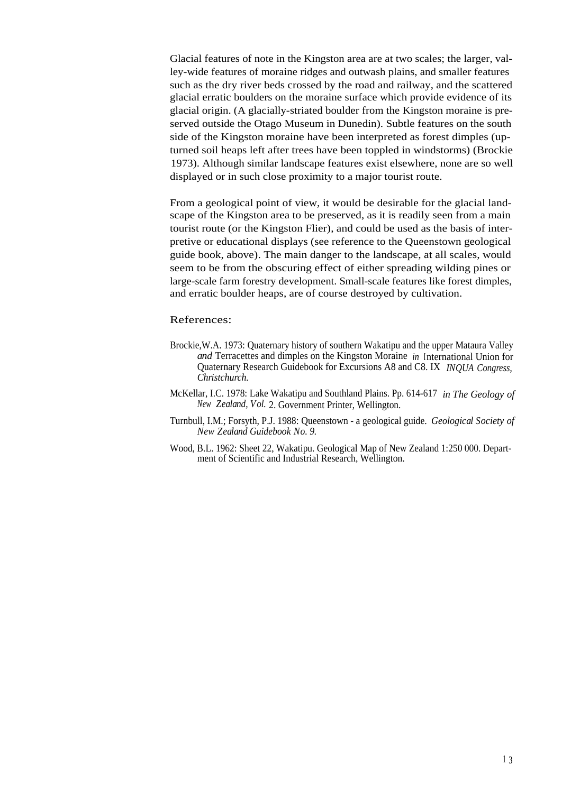Glacial features of note in the Kingston area are at two scales; the larger, valley-wide features of moraine ridges and outwash plains, and smaller features such as the dry river beds crossed by the road and railway, and the scattered glacial erratic boulders on the moraine surface which provide evidence of its glacial origin. (A glacially-striated boulder from the Kingston moraine is preserved outside the Otago Museum in Dunedin). Subtle features on the south side of the Kingston moraine have been interpreted as forest dimples (upturned soil heaps left after trees have been toppled in windstorms) (Brockie 1973). Although similar landscape features exist elsewhere, none are so well displayed or in such close proximity to a major tourist route.

From a geological point of view, it would be desirable for the glacial landscape of the Kingston area to be preserved, as it is readily seen from a main tourist route (or the Kingston Flier), and could be used as the basis of interpretive or educational displays (see reference to the Queenstown geological guide book, above). The main danger to the landscape, at all scales, would seem to be from the obscuring effect of either spreading wilding pines or large-scale farm forestry development. Small-scale features like forest dimples, and erratic boulder heaps, are of course destroyed by cultivation.

#### References:

- Brockie,W.A. 1973: Quaternary history of southern Wakatipu and the upper Mataura Valley *and* Terracettes and dimples on the Kingston Moraine *in* International Union for Quaternary Research Guidebook for Excursions A8 and C8. IX *INQUA Congress, Christchurch.*
- McKellar, I.C. 1978: Lake Wakatipu and Southland Plains. Pp. 614-617 *in The Geology of New Zealand, Vol.* 2. Government Printer, Wellington.
- Turnbull, I.M.; Forsyth, P.J. 1988: Queenstown a geological guide. *Geological Society of New Zealand Guidebook No. 9.*
- Wood, B.L. 1962: Sheet 22, Wakatipu. Geological Map of New Zealand 1:250 000. Department of Scientific and Industrial Research, Wellington.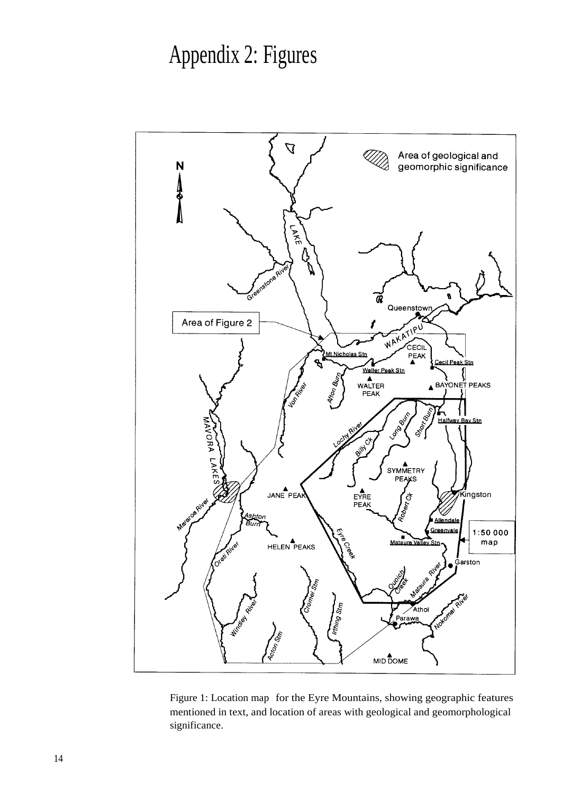# Appendix 2: Figures



Figure 1: Location map for the Eyre Mountains, showing geographic features mentioned in text, and location of areas with geological and geomorphological significance.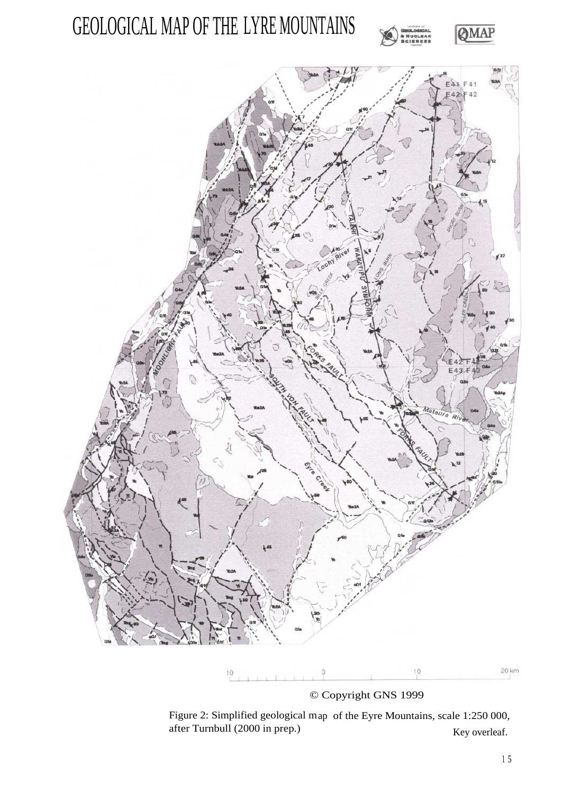







© Copyright GNS 1999

Figure 2: Simplified geological map of the Eyre Mountains, scale 1:250 000, after Turnbull (2000 in prep.) Key overleaf.